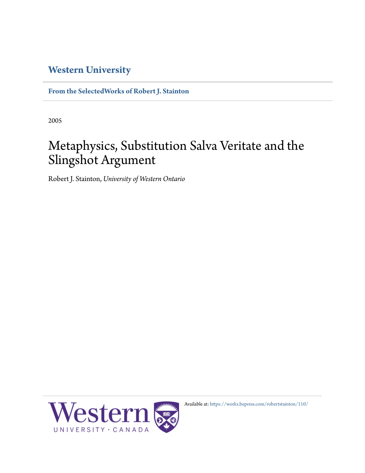# **[Western University](http://www.uwo.ca/)**

**[From the SelectedWorks of Robert J. Stainton](https://works.bepress.com/robertstainton/)**

2005

# Metaphysics, Substitution Salva Veritate and the Slingshot Argument

Robert J. Stainton, *University of Western Ontario*



Available at: <https://works.bepress.com/robertstainton/110/>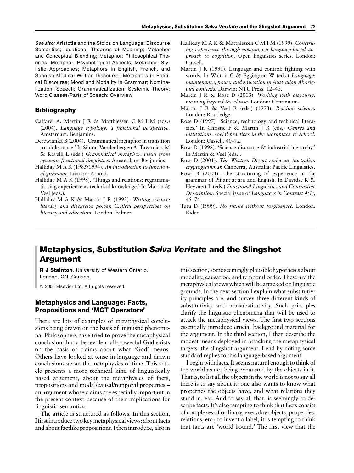See also: Aristotle and the Stoics on Language: Discourse Semantics; Ideational Theories of Meaning; Metaphor and Conceptual Blending; Metaphor: Philosophical Theories; Metaphor: Psychological Aspects; Metaphor: Stylistic Approaches; Metaphors in English, French, and Spanish Medical Written Discourse; Metaphors in Political Discourse; Mood and Modality in Grammar; Nominalization; Speech; Grammaticalization; Systemic Theory; Word Classes/Parts of Speech: Overview.

#### **Bibliography**

- Caffarel A, Martin J R & Matthiessen C M I M (eds.) (2004). Language typology: a functional perspective. Amsterdam: Benjamins.
- Derewianka B (2004). 'Grammatical metaphor in transition to adolescence.' In Simon-Vandenbergen A, Taverniers M & Ravelli L (eds.) Grammatical metaphor: views from systemic functional linguistics. Amsterdam: Benjamins.
- Halliday M A K (1985/1994). An introduction to functional grammar. London: Arnold.
- Halliday M A K (1998). 'Things and relations: regrammaticising experience as technical knowledge.' In Martin & Veel (eds.).
- Halliday M A K & Martin J R (1993). Writing science: literacy and discursive power, Critical perspectives on literacy and education. London: Falmer.
- Halliday M A K & Matthiessen C M I M (1999). Construing experience through meaning: a language-based approach to cognition, Open linguistics series. London: Cassell.
- Martin J R (1991). Language and control: fighting with words. In Walton C & Eggington W (eds.) Language: maintenance, power and education in Australian Aboriginal contexts. Darwin: NTU Press. 12–43.
- Martin J R & Rose D (2003). Working with discourse: meaning beyond the clause. London: Continuum.
- Martin J R & Veel R (eds.) (1998). Reading science. London: Routledge.
- Rose D (1997). 'Science, technology and technical literacies.' In Christie F & Martin J R (eds.) Genres and institutions: social practices in the workplace  $\circ$  school. London: Cassell. 40–72.
- Rose D (1998). 'Science discourse & industrial hierarchy.' In Martin & Veel (eds.).
- Rose D (2001). The Western Desert code: an Australian cryptogrammar. Canberra, Australia: Pacific Linguistics.
- Rose D (2004). The structuring of experience in the grammar of Pitjantjatjara and English. In Davidse K & Heyvaert L (eds.) Functional Linguistics and Contrastive Description: Special issue of Languages in Contrast 4(1), 45–74.
- Tutu D (1999). No future without forgiveness. London: Rider.

# Metaphysics, Substitution Salva Veritate and the Slingshot **Argument**

R J Stainton, University of Western Ontario, London, ON, Canada

2006 Elsevier Ltd. All rights reserved.

# Metaphysics and Language: Facts, Propositions and 'MCT Operators'

There are lots of examples of metaphysical conclusions being drawn on the basis of linguistic phenomena. Philosophers have tried to prove the metaphysical conclusion that a benevolent all-powerful God exists on the basis of claims about what 'God' means. Others have looked at tense in language and drawn conclusions about the metaphysics of time. This article presents a more technical kind of linguistically based argument, about the metaphysics of facts, propositions and modal/causal/temporal properties – an argument whose claims are especially important in the present context because of their implications for linguistic semantics.

The article is structured as follows. In this section, I first introduce two key metaphysical views: about facts and about factlike propositions. I then introduce, also in this section, some seemingly plausible hypotheses about modality, causation, and temporal order. These are the metaphysical views which will be attacked on linguistic grounds. In the next section I explain what substitutivity principles are, and survey three different kinds of substitutivity and nonsubstitutivity. Such principles clarify the linguistic phenomena that will be used to attack the metaphysical views. The first two sections essentially introduce crucial background material for the argument. In the third section, I then describe the modest means deployed in attacking the metaphysical targets: the slingshot argument. I end by noting some standard replies to this language-based argument.

I begin with facts. It seems natural enough to think of the world as not being exhausted by the objects in it. That is, to list all the objects in the world is not to say all there is to say about it: one also wants to know what properties the objects have, and what relations they stand in, etc. And to say all that, is seemingly to describe facts. It's also tempting to think that facts consist of complexes of ordinary, everyday objects, properties, relations, etc.; to invent a label, it is tempting to think that facts are 'world bound.' The first view that the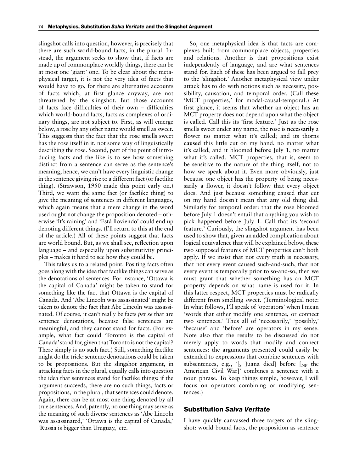slingshot calls into question, however, is precisely that there are such world-bound facts, in the plural. Instead, the argument seeks to show that, if facts are made up of commonplace worldly things, there can be at most one 'giant' one. To be clear about the metaphysical target, it is not the very idea of facts that would have to go, for there are alternative accounts of facts which, at first glance anyway, are not threatened by the slingshot. But those accounts of facts face difficulties of their own – difficulties which world-bound facts, facts as complexes of ordinary things, are not subject to. First, as will emerge below, a rose by any other name would smell as sweet. This suggests that the fact that the rose smells sweet has the rose itself in it, not some way of linguistically describing the rose. Second, part of the point of introducing facts and the like is to see how something distinct from a sentence can serve as the sentence's meaning, hence, we can't have every linguistic change in the sentence giving rise to a different fact (or factlike thing). (Strawson, 1950 made this point early on.) Third, we want the same fact (or factlike thing) to give the meaning of sentences in different languages, which again means that a mere change in the word used ought not change the proposition denoted – otherwise 'It's raining' and 'Esta´ lloviendo' could end up denoting different things. (I'll return to this at the end of the article.) All of these points suggest that facts are world bound. But, as we shall see, reflection upon language – and especially upon substitutivity principles – makes it hard to see how they could be.

This takes us to a related point. Positing facts often goes along with the idea that factlike things can serve as the denotations of sentences. For instance, 'Ottawa is the capital of Canada' might be taken to stand for something like the fact that Ottawa is the capital of Canada. And 'Abe Lincoln was assassinated' might be taken to denote the fact that Abe Lincoln was assassinated. Of course, it can't really be facts per se that are sentence denotations, because false sentences are meaningful, and they cannot stand for facts. (For example, what fact could 'Toronto is the capital of Canada'stand for, given that Toronto is not the capital? There simply is no such fact.) Still, something factlike might do the trick: sentence denotations could be taken to be propositions. But the slingshot argument, in attacking facts in the plural, equally calls into question the idea that sentences stand for factlike things: if the argument succeeds, there are no such things, facts or propositions, in the plural, that sentences could denote. Again, there can be at most one thing denoted by all true sentences. And, patently, no one thing may serve as the meaning of such diverse sentences as 'Abe Lincoln was assassinated,' 'Ottawa is the capital of Canada,' 'Russia is bigger than Uruguay,' etc.

So, one metaphysical idea is that facts are complexes built from commonplace objects, properties and relations. Another is that propositions exist independently of language, and are what sentences stand for. Each of these has been argued to fall prey to the 'slingshot.' Another metaphysical view under attack has to do with notions such as necessity, possibility, causation, and temporal order. (Call these 'MCT properties,' for modal-causal-temporal.) At first glance, it seems that whether an object has an MCT property does not depend upon what the object is called. Call this its 'first feature.' Just as the rose smells sweet under any name, the rose is necessarily a flower no matter what it's called; and its thorns caused this little cut on my hand, no matter what it's called; and it bloomed before July 1, no matter what it's called. MCT properties, that is, seem to be sensitive to the nature of the thing itself, not to how we speak about it. Even more obviously, just because one object has the property of being necessarily a flower, it doesn't follow that every object does. And just because something caused that cut on my hand doesn't mean that any old thing did. Similarly for temporal order: that the rose bloomed before July 1 doesn't entail that anything you wish to pick happened before July 1. Call that its 'second feature.' Curiously, the slingshot argument has been used to show that, given an added complication about logical equivalence that will be explained below, these two supposed features of MCT properties can't both apply. If we insist that not every truth is necessary, that not every event caused such-and-such, that not every event is temporally prior to so-and-so, then we must grant that whether something has an MCT property depends on what name is used for it. In this latter respect, MCT properties must be radically different from smelling sweet. (Terminological note: In what follows, I'll speak of 'operators' when I mean 'words that either modify one sentence, or connect two sentences.' Thus all of 'necessarily,' 'possibly,' 'because' and 'before' are operators in my sense. Note also that the results to be discussed do not merely apply to words that modify and connect sentences: the arguments presented could easily be extended to expressions that combine sentences with subsentences, e.g.,  $\left\{ \cdot \right\}$  [uana died] before  $\left\{ \cdot \right\}$  the American Civil War]' combines a sentence with a noun phrase. To keep things simple, however, I will focus on operators combining or modifying sentences.)

#### Substitution Salva Veritate

I have quickly canvassed three targets of the slingshot: world-bound facts, the proposition as sentence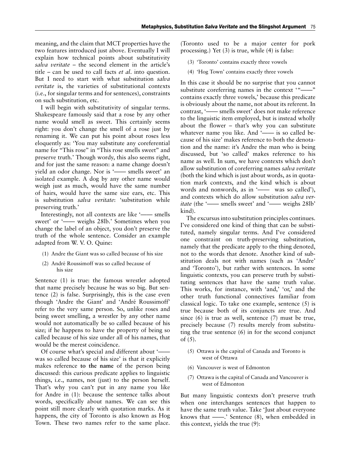meaning, and the claim that MCT properties have the two features introduced just above. Eventually I will explain how technical points about substitutivity salva veritate – the second element in the article's title – can be used to call facts et al. into question. But I need to start with what substitution salva veritate is, the varieties of substitutional contexts (i.e., for singular terms and for sentences), constraints on such substitution, etc.

I will begin with substitutivity of singular terms. Shakespeare famously said that a rose by any other name would smell as sweet. This certainly seems right: you don't change the smell of a rose just by renaming it. We can put his point about roses less eloquently as: 'You may substitute any coreferential name for "This rose" in "This rose smells sweet" and preserve truth.' Though wordy, this also seems right, and for just the same reason: a name change doesn't yield an odor change. Nor is '—— smells sweet' an isolated example. A dog by any other name would weigh just as much, would have the same number of hairs, would have the same size ears, etc. This is substitution *salva veritate*: 'substitution while preserving truth.'

Interestingly, not all contexts are like '—— smells sweet' or '—— weighs 28lb.' Sometimes when you change the label of an object, you don't preserve the truth of the whole sentence. Consider an example adapted from W. V. O. Quine:

- (1) Andre the Giant was so called because of his size
- (2) André Roussimoff was so called because of his size

Sentence (1) is true: the famous wrestler adopted that name precisely because he was so big. But sentence (2) is false. Surprisingly, this is the case even though 'Andre the Giant' and 'André Roussimoff' refer to the very same person. So, unlike roses and being sweet smelling, a wrestler by any other name would not automatically be so called because of his size; if he happens to have the property of being so called because of his size under all of his names, that would be the merest coincidence.

Of course what's special and different about 'was so called because of his size' is that it explicitly makes reference to the name of the person being discussed: this curious predicate applies to linguistic things, i.e., names, not (just) to the person herself. That's why you can't put in any name you like for Andre in (1): because the sentence talks about words, specifically about names. We can see this point still more clearly with quotation marks. As it happens, the city of Toronto is also known as Hog Town. These two names refer to the same place.

(Toronto used to be a major center for pork processing.) Yet (3) is true, while (4) is false:

- (3) 'Toronto' contains exactly three vowels
- (4) 'Hog Town' contains exactly three vowels

In this case it should be no surprise that you cannot substitute coreferring names in the context ""—" contains exactly three vowels,' because this predicate is obviously about the name, not about its referent. In contrast, '—— smells sweet' does not make reference to the linguistic item employed, but is instead wholly about the flower – that's why you can substitute whatever name you like. And '- is so called because of his size' makes reference to both the denotation and the name: it's Andre the man who is being discussed, but 'so called' makes reference to his name as well. In sum, we have contexts which don't allow substitution of coreferring names salva veritate (both the kind which is just about words, as in quotation mark contexts, and the kind which is about words and nonwords, as in '- was so called'), and contexts which do allow substitution salva veritate (the '—— smells sweet' and '—— weighs 28lb' kind).

The excursus into substitution principles continues. I've considered one kind of thing that can be substituted, namely singular terms. And I've considered one constraint on truth-preserving substitution, namely that the predicate apply to the thing denoted, not to the words that denote. Another kind of substitution deals not with names (such as 'Andre' and 'Toronto'), but rather with sentences. In some linguistic contexts, you can preserve truth by substituting sentences that have the same truth value. This works, for instance, with 'and,' 'or,' and the other truth functional connectives familiar from classical logic. To take one example, sentence (5) is true because both of its conjuncts are true. And since (6) is true as well, sentence (7) must be true, precisely because (7) results merely from substituting the true sentence (6) in for the second conjunct of (5).

- (5) Ottawa is the capital of Canada and Toronto is west of Ottawa
- (6) Vancouver is west of Edmonton
- (7) Ottawa is the capital of Canada and Vancouver is west of Edmonton

But many linguistic contexts don't preserve truth when one interchanges sentences that happen to have the same truth value. Take 'Just about everyone knows that ——.' Sentence (8), when embedded in this context, yields the true (9):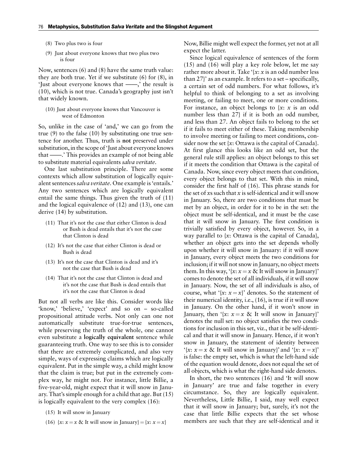- (8) Two plus two is four
- (9) Just about everyone knows that two plus two is four

Now, sentences (6) and (8) have the same truth value: they are both true. Yet if we substitute (6) for (8), in 'Just about everyone knows that ——,' the result is (10), which is not true. Canada's geography just isn't that widely known.

(10) Just about everyone knows that Vancouver is west of Edmonton

So, unlike in the case of 'and,' we can go from the true (9) to the false (10) by substituting one true sentence for another. Thus, truth is not preserved under substitution, in the scope of'Just about everyone knows that ——.' This provides an example of not being able to substitute material equivalents salva veritate.

One last substitution principle. There are some contexts which allow substitution of logically equivalent sentences salva veritate. One example is 'entails.' Any two sentences which are logically equivalent entail the same things. Thus given the truth of (11) and the logical equivalence of (12) and (13), one can derive (14) by substitution.

- (11) That it's not the case that either Clinton is dead or Bush is dead entails that it's not the case that Clinton is dead
- (12) It's not the case that either Clinton is dead or Bush is dead
- (13) It's not the case that Clinton is dead and it's not the case that Bush is dead
- (14) That it's not the case that Clinton is dead and it's not the case that Bush is dead entails that it's not the case that Clinton is dead

But not all verbs are like this. Consider words like 'know,' 'believe,' 'expect' and so on – so-called propositional attitude verbs. Not only can one not automatically substitute true-for-true sentences, while preserving the truth of the whole, one cannot even substitute a logically equivalent sentence while guaranteeing truth. One way to see this is to consider that there are extremely complicated, and also very simple, ways of expressing claims which are logically equivalent. Put in the simple way, a child might know that the claim is true; but put in the extremely complex way, he might not. For instance, little Billie, a five-year-old, might expect that it will snow in January. That's simple enough for a child that age. But (15) is logically equivalent to the very complex (16):

- (15) It will snow in January
- (16) { $x: x = x \&$  It will snow in January} = { $x: x = x$ }

Now, Billie might well expect the former, yet not at all expect the latter.

Since logical equivalence of sentences of the form (15) and (16) will play a key role below, let me say rather more about it. Take '{ $x: x$  is an odd number less than 27}' as an example. It refers to a set – specifically, a certain set of odd numbers. For what follows, it's helpful to think of belonging to a set as involving meeting, or failing to meet, one or more conditions. For instance, an object belongs to  $\{x: x \text{ is an odd}\}$ number less than 27} if it is both an odd number, and less than 27. An object fails to belong to the set if it fails to meet either of these. Taking membership to involve meeting or failing to meet conditions, consider now the set  $\{x: Ottawa$  is the capital of Canada}. At first glance this looks like an odd set, but the general rule still applies: an object belongs to this set if it meets the condition that Ottawa is the capital of Canada. Now, since every object meets that condition, every object belongs to that set. With this in mind, consider the first half of (16). This phrase stands for the set of xs such that x is self-identical and it will snow in January. So, there are two conditions that must be met by an object, in order for it to be in the set: the object must be self-identical, and it must be the case that it will snow in January. The first condition is trivially satisfied by every object, however. So, in a way parallel to  $\{x: Ottawa$  is the capital of Canada), whether an object gets into the set depends wholly upon whether it will snow in January: if it will snow in January, every object meets the two conditions for inclusion; if it will not snow in January, no object meets them. In this way, '{ $x: x = x \&$  It will snow in January}' comes to denote the set of all individuals, if it will snow in January. Now, the set of all individuals is also, of course, what '{x:  $x = x$ }' denotes. So the statement of their numerical identity, i.e., (16), is true if it will snow in January. On the other hand, if it won't snow in January, then '{ $x: x = x \&$  It will snow in January}' denotes the null set: no object satisfies the two conditions for inclusion in this set, viz., that it be self-identical and that it will snow in January. Hence, if it won't snow in January, the statement of identity between '{x:  $x = x \&$  It will snow in January}' and '{x:  $x = x$ }' is false: the empty set, which is what the left-hand side of the equation would denote, does not equal the set of all objects, which is what the right-hand side denotes.

In short, the two sentences (16) and 'It will snow in January' are true and false together in every circumstance. So, they are logically equivalent. Nevertheless, Little Billie, I said, may well expect that it will snow in January; but, surely, it's not the case that little Billie expects that the set whose members are such that they are self-identical and it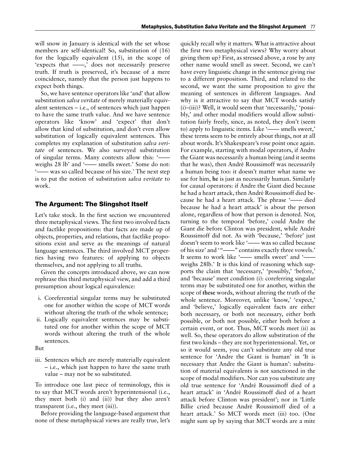will snow in January is identical with the set whose members are self-identical! So, substitution of (16) for the logically equivalent (15), in the scope of 'expects that ——,' does not necessarily preserve truth. If truth is preserved, it's because of a mere coincidence, namely that the person just happens to expect both things.

So, we have sentence operators like 'and' that allow substitution *salva veritate* of merely materially equivalent sentences – i.e., of sentences which just happen to have the same truth value. And we have sentence operators like 'know' and 'expect' that don't allow that kind of substitution, and don't even allow substitution of logically equivalent sentences. This completes my explanation of substitution salva veritate of sentences. We also surveyed substitution of singular terms. Many contexts allow this: 'weighs 28 lb' and '- smells sweet.' Some do not: '—— was so called because of his size.' The next step is to put the notion of substitution salva veritate to work.

#### The Argument: The Slingshot Itself

Let's take stock. In the first section we encountered three metaphysical views. The first two involved facts and factlike propositions: that facts are made up of objects, properties, and relations, that factlike propositions exist and serve as the meanings of natural language sentences. The third involved MCT properties having two features: of applying to objects themselves, and not applying to all truths.

Given the concepts introduced above, we can now rephrase this third metaphysical view, and add a third presumption about logical equivalence:

- i. Coreferential singular terms may be substituted one for another within the scope of MCT words without altering the truth of the whole sentence;
- ii. Logically equivalent sentences may be substituted one for another within the scope of MCT words without altering the truth of the whole sentences.

But

iii. Sentences which are merely materially equivalent – i.e., which just happen to have the same truth value – may not be so substituted.

To introduce one last piece of terminology, this is to say that MCT words aren't hyperintensional (i.e., they meet both (i) and (ii)) but they also aren't transparent (i.e., they meet (iii)).

Before providing the language-based argument that none of these metaphysical views are really true, let's quickly recall why it matters. What is attractive about the first two metaphysical views? Why worry about giving them up? First, as stressed above, a rose by any other name would smell as sweet. Second, we can't have every linguistic change in the sentence giving rise to a different proposition. Third, and related to the second, we want the same proposition to give the meaning of sentences in different languages. And why is it attractive to say that MCT words satisfy (i)–(iii)? Well, it would seem that 'necessarily,' 'possibly,' and other modal modifiers would allow substitution fairly freely, since, as noted, they don't (seem to) apply to linguistic items. Like '—— smells sweet,' these terms seem to be entirely about things, not at all about words. It's Shakespeare's rose point once again. For example, starting with modal operators, if Andre the Giant was necessarily a human being (and it seems that he was), then André Roussimoff was necessarily a human being too: it doesn't matter what name we use for him, he is just as necessarily human. Similarly for causal operators: if Andre the Giant died because he had a heart attack, then André Roussimoff died because he had a heart attack. The phrase '—— died because he had a heart attack' is about the person alone, regardless of how that person is denoted. Nor, turning to the temporal 'before,' could Andre the Giant die before Clinton was president, while André Roussimoff did not. As with 'because,' 'before' just doesn't seem to work like '—— was so called because of his size' and '''——'' contains exactly three vowels.' It seems to work like '—— smells sweet' and ' weighs 28lb.' It is this kind of reasoning which supports the claim that 'necessary,' 'possibly,' 'before,' and 'because' meet condition (i): coreferring singular terms may be substituted one for another, within the scope of these words, without altering the truth of the whole sentence. Moreover, unlike 'know,' 'expect,' and 'believe,' logically equivalent facts are either both necessary, or both not necessary, either both possible, or both not possible, either both before a certain event, or not. Thus, MCT words meet (ii) as well. So, these operators do allow substitution of the first two kinds – they are not hyperintensional. Yet, or so it would seem, you can't substitute any old true sentence for 'Andre the Giant is human' in 'It is necessary that Andre the Giant is human': substitution of material equivalents is not sanctioned in the scope of modal modifiers. Nor can you substitute any old true sentence for 'André Roussimoff died of a heart attack' in 'André Roussimoff died of a heart attack before Clinton was president'; nor in 'Little Billie cried because André Roussimoff died of a heart attack.' So MCT words meet (iii) too. (One might sum up by saying that MCT words are a mite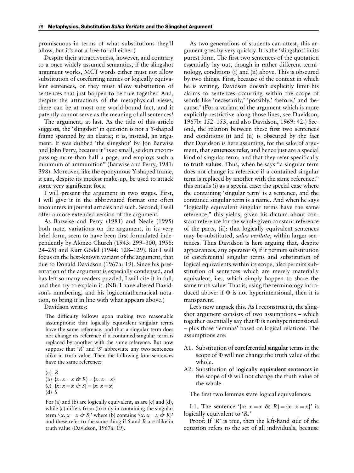promiscuous in terms of what substitutions they'll allow, but it's not a free-for-all either.)

Despite their attractiveness, however, and contrary to a once widely assumed semantics, if the slingshot argument works, MCT words either must not allow substitution of coreferring names or logically equivalent sentences, or they must allow substitution of sentences that just happen to be true together. And, despite the attractions of the metaphysical views, there can be at most one world-bound fact, and it patently cannot serve as the meaning of all sentences!

The argument, at last. As the title of this article suggests, the 'slingshot' in question is not a Y-shaped frame spanned by an elastic; it is, instead, an argument. It was dubbed 'the slingshot' by Jon Barwise and John Perry, because it "is so small, seldom encompassing more than half a page, and employs such a minimum of ammunition'' (Barwise and Perry, 1981: 398). Moreover, like the eponymous Y-shaped frame, it can, despite its modest make-up, be used to attack some very significant foes.

I will present the argument in two stages. First, I will give it in the abbreviated format one often encounters in journal articles and such. Second, I will offer a more extended version of the argument.

As Barwise and Perry (1981) and Neale (1995) both note, variations on the argument, in its very brief form, seem to have been first formulated independently by Alonzo Church (1943: 299–300, 1956: 24–25) and Kurt Gödel (1944: 128–129). But I will focus on the best-known variant of the argument, that due to Donald Davidson (1967a: 19). Since his presentation of the argument is especially condensed, and has left so many readers puzzled, I will cite it in full, and then try to explain it. (NB: I have altered Davidson's numbering, and his logicomathematical notation, to bring it in line with what appears above.)

Davidson writes:

The difficulty follows upon making two reasonable assumptions: that logically equivalent singular terms have the same reference, and that a singular term does not change its reference if a contained singular term is replaced by another with the same reference. But now suppose that 'R' and 'S' abbreviate any two sentences alike in truth value. Then the following four sentences have the same reference:

 $(a)$  R (b)  $\{x: x = x \, \diamondsuit R\} = \{x: x = x\}$ (c)  $\{x: x = x \, \circ \, \circ \, S\} = \{x: x = x\}$  $(d)$  S

For (a) and (b) are logically equivalent, as are (c) and (d), while (c) differs from (b) only in containing the singular term '{x: x = x & S}' where (b) contains '{x: x = x & R}' and these refer to the same thing if S and R are alike in truth value (Davidson, 1967a: 19).

As two generations of students can attest, this argument goes by very quickly. It is the 'slingshot' in its purest form. The first two sentences of the quotation essentially lay out, though in rather different terminology, conditions (i) and (ii) above. This is obscured by two things. First, because of the context in which he is writing, Davidson doesn't explicitly limit his claims to sentences occurring within the scope of words like 'necessarily,' 'possibly,' 'before,' and 'because.' (For a variant of the argument which is more explicitly restrictive along those lines, see Davidson, 1967b: 152–153, and also Davidson, 1969: 42.) Second, the relation between these first two sentences and conditions (i) and (ii) is obscured by the fact that Davidson is here assuming, for the sake of argument, that sentences refer, and hence just are a special kind of singular term; and that they refer specifically to truth values. Thus, when he says ''a singular term does not change its reference if a contained singular term is replaced by another with the same reference,'' this entails (i) as a special case: the special case where the containing 'singular term' is a sentence, and the contained singular term is a name. And when he says ''logically equivalent singular terms have the same reference," this yields, given his dictum about constant reference for the whole given constant reference of the parts, (ii): that logically equivalent sentences may be substituted, *salva veritate*, within larger sentences. Thus Davidson is here arguing that, despite appearances, any operator  $\Phi$ , if it permits substitution of coreferential singular terms and substitution of logical equivalents within its scope, also permits substitution of sentences which are merely materially equivalent, i.e., which simply happen to share the same truth value. That is, using the terminology introduced above: if  $\Phi$  is not hyperintensional, then it is transparent.

Let's now unpack this. As I reconstruct it, the slingshot argument consists of two assumptions – which together essentially say that  $\Phi$  is nonhyperintensional – plus three 'lemmas' based on logical relations. The assumptions are:

- A1. Substitution of coreferential singular terms in the scope of  $\Phi$  will not change the truth value of the whole.
- A2. Substitution of logically equivalent sentences in the scope of  $\Phi$  will not change the truth value of the whole.

The first two lemmas state logical equivalences:

L1. The sentence '{ $x: x = x \& R$ } = { $x: x = x$ }' is logically equivalent to 'R.'

Proof: If 'R' is true, then the left-hand side of the equation refers to the set of all individuals, because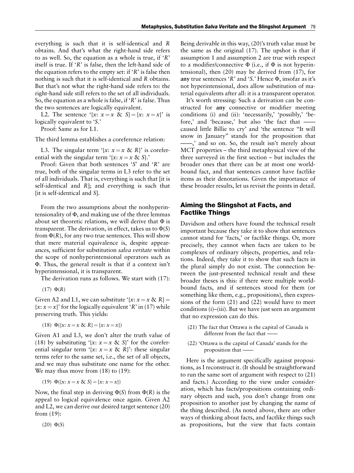everything is such that it is self-identical and R obtains. And that's what the right-hand side refers to as well. So, the equation as a whole is true, if 'R' itself is true. If 'R' is false, then the left-hand side of the equation refers to the empty set: if ' $R$ ' is false then nothing is such that it is self-identical and R obtains. But that's not what the right-hand side refers to: the right-hand side still refers to the set of all individuals. So, the equation as a whole is false, if  $'R'$  is false. Thus the two sentences are logically equivalent.

L2. The sentence '{x:  $x = x \& S$ } = {x:  $x = x$ }' is logically equivalent to 'S.'

Proof: Same as for L1.

The third lemma establishes a coreference relation:

L3. The singular term '{x:  $x = x \& R$ }' is coreferential with the singular term '{x:  $x = x \& S$ }.'

Proof: Given that both sentences 'S' and 'R' are true, both of the singular terms in L3 refer to the set of all individuals. That is, everything is such that [it is self-identical and  $R$ ]; and everything is such that [it is self-identical and S].

From the two assumptions about the nonhyperintensionality of  $\Phi$ , and making use of the three lemmas about set theoretic relations, we will derive that  $\Phi$  is transparent. The derivation, in effect, takes us to  $\Phi(S)$ from  $\Phi(R)$ , for any two true sentences. This will show that mere material equivalence is, despite appearances, sufficient for substitution salva veritate within the scope of nonhyperintensional operators such as F. Thus, the general result is that if a context isn't hyperintensional, it is transparent.

The derivation runs as follows. We start with (17):

 $(17)$   $\Phi(R)$ 

Given A2 and L1, we can substitute '{ $x: x = x \& R$ } =  $\{x: x = x\}$  for the logically equivalent 'R' in (17) while preserving truth. This yields:

(18) 
$$
\Phi(\{x: x = x \& R\} = \{x: x = x\})
$$

Given A1 and L3, we don't alter the truth value of (18) by substituting '{x:  $x = x \& S$ }' for the coreferential singular term '{x:  $x = x \& R$ }': these singular terms refer to the same set, i.e., the set of all objects, and we may thus substitute one name for the other. We may thus move from  $(18)$  to  $(19)$ :

(19) 
$$
\Phi(\{x: x = x \& S\} = \{x: x = x\})
$$

Now, the final step in deriving  $\Phi(S)$  from  $\Phi(R)$  is the appeal to logical equivalence once again. Given A2 and L2, we can derive our desired target sentence (20) from (19):

Being derivable in this way, (20)'s truth value must be the same as the original (17). The upshot is that if assumption 1 and assumption 2 are true with respect to a modifier/connective  $\Phi$  (i.e., if  $\Phi$  is not hyperintensional), then (20) may be derived from (17), for any true sentences 'R' and 'S.' Hence  $\Phi$ , insofar as it's not hyperintensional, does allow substitution of material equivalents after all: it is a transparent operator.

It's worth stressing: Such a derivation can be constructed for any connective or modifier meeting conditions (i) and (ii): 'necessarily,' 'possibly,' 'before,' and 'because,' but also 'the fact that — caused little Billie to cry' and 'the sentence ''It will snow in January'' stands for the proposition that ——,' and so on. So, the result isn't merely about MCT properties – the third metaphysical view of the three surveyed in the first section – but includes the broader ones that there can be at most one worldbound fact, and that sentences cannot have factlike items as their denotations. Given the importance of these broader results, let us revisit the points in detail.

### Aiming the Slingshot at Facts, and Factlike Things

Davidson and others have found the technical result important because they take it to show that sentences cannot stand for 'facts,' or factlike things. Or, more precisely, they cannot when facts are taken to be complexes of ordinary objects, properties, and relations. Indeed, they take it to show that such facts in the plural simply do not exist. The connection between the just-presented technical result and these broader theses is this: if there were multiple worldbound facts, and if sentences stood for them (or something like them, e.g., propositions), then expressions of the form (21) and (22) would have to meet conditions (i)–(iii). But we have just seen an argument that no expression can do this.

- (21) The fact that Ottawa is the capital of Canada is different from the fact that -
- (22) 'Ottawa is the capital of Canada' stands for the proposition that ——

Here is the argument specifically against propositions, as I reconstruct it. (It should be straightforward to run the same sort of argument with respect to (21) and facts.) According to the view under consideration, which has facts/propositions containing ordinary objects and such, you don't change from one proposition to another just by changing the name of the thing described. (As noted above, there are other ways of thinking about facts, and factlike things such as propositions, but the view that facts contain

 $(20)$   $\Phi(S)$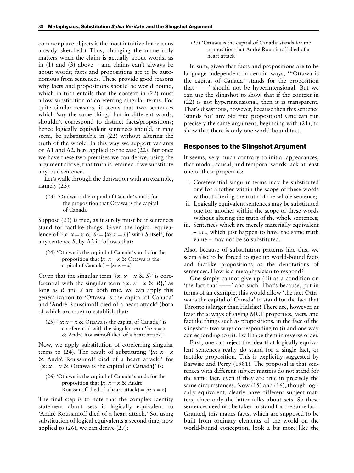commonplace objects is the most intuitive for reasons already sketched.) Thus, changing the name only matters when the claim is actually about words, as in (1) and (3) above – and claims can't always be about words; facts and propositions are to be autonomous from sentences. These provide good reasons why facts and propositions should be world bound, which in turn entails that the context in  $(22)$  must allow substitution of coreferring singular terms. For quite similar reasons, it seems that two sentences which 'say the same thing,' but in different words, shouldn't correspond to distinct facts/propositions; hence logically equivalent sentences should, it may seem, be substitutable in (22) without altering the truth of the whole. In this way we support variants on A1 and A2, here applied to the case (22). But once we have these two premises we can derive, using the argument above, that truth is retained if we substitute any true sentence.

Let's walk through the derivation with an example, namely (23):

(23) 'Ottawa is the capital of Canada' stands for the proposition that Ottawa is the capital of Canada

Suppose (23) is true, as it surely must be if sentences stand for factlike things. Given the logical equivalence of '{x:  $x = x \& S$ } = {x:  $x = x$ }' with S itself, for any sentence S, by A2 it follows that:

(24) 'Ottawa is the capital of Canada' stands for the proposition that  $\{x: x = x \& \text{Octawa is the } \}$ capital of Canada} =  $\{x: x = x\}$ 

Given that the singular term '{x:  $x = x \& S$ }' is coreferential with the singular term '{x:  $x = x \& R$ },' as long as  $R$  and  $S$  are both true, we can apply this generalization to 'Ottawa is the capital of Canada' and 'André Roussimoff died of a heart attack' (both of which are true) to establish that:

(25) '{ $x: x = x \&$  Ottawa is the capital of Canada}' is coreferential with the singular term '{ $x: x = x$ } & André Roussimoff died of a heart attack}'

Now, we apply substitution of coreferring singular terms to (24). The result of substituting '{ $x: x = x$ & Andre´ Roussimoff died of a heart attack}' for '{ $x: x = x \&$  Ottawa is the capital of Canada}' is:

(26) 'Ottawa is the capital of Canada' stands for the proposition that  $\{x: x = x \& \text{Andr\'e}\}$ Roussimoff died of a heart attack  $\} = \{x: x = x\}$ 

The final step is to note that the complex identity statement about sets is logically equivalent to 'André Roussimoff died of a heart attack.' So, using substitution of logical equivalents a second time, now applied to  $(26)$ , we can derive  $(27)$ :

(27) 'Ottawa is the capital of Canada' stands for the proposition that André Roussimoff died of a heart attack

In sum, given that facts and propositions are to be language independent in certain ways, '''Ottawa is the capital of Canada'' stands for the proposition that ——' should not be hyperintensional. But we can use the slingshot to show that if the context in (22) is not hyperintensional, then it is transparent. That's disastrous, however, because then this sentence 'stands for' any old true proposition! One can run precisely the same argument, beginning with (21), to show that there is only one world-bound fact.

#### Responses to the Slingshot Argument

It seems, very much contrary to initial appearances, that modal, causal, and temporal words lack at least one of these properties:

- i. Coreferential singular terms may be substituted one for another within the scope of these words without altering the truth of the whole sentence;
- ii. Logically equivalent sentences may be substituted one for another within the scope of these words without altering the truth of the whole sentences;
- iii. Sentences which are merely materially equivalent – i.e., which just happen to have the same truth value – may not be so substituted.

Also, because of substitution patterns like this, we seem also to be forced to give up world-bound facts and factlike propositions as the denotations of sentences. How is a metaphysician to respond?

One simply cannot give up (iii) as a condition on 'the fact that ——' and such. That's because, put in terms of an example, this would allow 'the fact Ottawa is the capital of Canada' to stand for the fact that Toronto is larger than Halifax! There are, however, at least three ways of saving MCT properties, facts, and factlike things such as propositions, in the face of the slingshot: two ways corresponding to (i) and one way corresponding to (ii). I will take them in reverse order.

First, one can reject the idea that logically equivalent sentences really do stand for a single fact, or factlike proposition. This is explicitly suggested by Barwise and Perry (1981). The proposal is that sentences with different subject matters do not stand for the same fact, even if they are true in precisely the same circumstances. Now (15) and (16), though logically equivalent, clearly have different subject matters, since only the latter talks about sets. So these sentences need not be taken to stand for the same fact. Granted, this makes facts, which are supposed to be built from ordinary elements of the world on the world-bound conception, look a bit more like the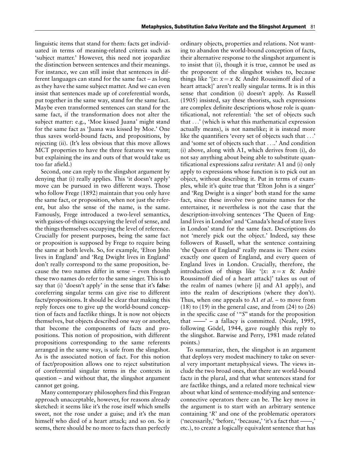linguistic items that stand for them: facts get individuated in terms of meaning-related criteria such as 'subject matter.' However, this need not jeopardize the distinction between sentences and their meanings. For instance, we can still insist that sentences in different languages can stand for the same fact – as long as they have the same subject matter. And we can even insist that sentences made up of coreferential words, put together in the same way, stand for the same fact. Maybe even transformed sentences can stand for the same fact, if the transformation does not alter the subject matter: e.g., 'Moe kissed Juana' might stand for the same fact as 'Juana was kissed by Moe.' One thus saves world-bound facts, and propositions, by rejecting (ii). (It's less obvious that this move allows MCT properties to have the three features we want; but explaining the ins and outs of that would take us too far afield.)

Second, one can reply to the slingshot argument by denying that (i) really applies. This 'it doesn't apply' move can be pursued in two different ways. Those who follow Frege (1892) maintain that you only have the same fact, or proposition, when not just the referent, but also the sense of the name, is the same. Famously, Frege introduced a two-level semantics, with guises-of-things occupying the level of sense, and the things themselves occupying the level of reference. Crucially for present purposes, being the same fact or proposition is supposed by Frege to require being the same at both levels. So, for example, 'Elton John lives in England' and 'Reg Dwight lives in England' don't really correspond to the same proposition, because the two names differ in sense – even though these two names do refer to the same singer. This is to say that (i) 'doesn't apply' in the sense that it's false: coreferring singular terms can give rise to different facts/propositions. It should be clear that making this reply forces one to give up the world-bound conception of facts and factlike things. It is now not objects themselves, but objects described one way or another, that become the components of facts and propositions. This notion of proposition, with different propositions corresponding to the same referents arranged in the same way, is safe from the slingshot. As is the associated notion of fact. For this notion of fact/proposition allows one to reject substitution of coreferential singular terms in the contexts in question – and without that, the slingshot argument cannot get going.

Many contemporary philosophers find this Fregean approach unacceptable, however, for reasons already sketched: it seems like it's the rose itself which smells sweet, not the rose under a guise; and it's the man himself who died of a heart attack; and so on. So it seems, there should be no more to facts than perfectly ordinary objects, properties and relations. Not wanting to abandon the world-bound conception of facts, their alternative response to the slingshot argument is to insist that (i), though it is true, cannot be used as the proponent of the slingshot wishes to, because things like '{ $x: x = x \&$  André Roussimoff died of a heart attack}' aren't really singular terms. It is in this sense that condition (i) doesn't apply. As Russell (1905) insisted, say these theorists, such expressions are complex definite descriptions whose role is quantificational, not referential: 'the set of objects such that ...' (which is what this mathematical expression actually means), is not namelike; it is instead more like the quantifiers 'every set of objects such that ...' and 'some set of objects such that ....' And condition (i) above, along with A1, which derives from (i), do not say anything about being able to substitute quantificational expressions salva veritate: A1 and (i) only apply to expressions whose function is to pick out an object, without describing it. Put in terms of examples, while it's quite true that 'Elton John is a singer' and 'Reg Dwight is a singer' both stand for the same fact, since these involve two genuine names for the entertainer, it nevertheless is not the case that the description-involving sentences 'The Queen of England lives in London' and 'Canada's head of state lives in London' stand for the same fact. Descriptions do not 'merely pick out the object.' Indeed, say these followers of Russell, what the sentence containing 'the Queen of England' really means is: There exists exactly one queen of England, and every queen of England lives in London. Crucially, therefore, the introduction of things like '{ $x: x = x \&$  André Roussimoff died of a heart attack}' takes us out of the realm of names (where [i] and A1 apply), and into the realm of descriptions (where they don't). Thus, when one appeals to A1 *et al.* – to move from  $(18)$  to  $(19)$  in the general case, and from  $(24)$  to  $(26)$ in the specific case of "'S" stands for the proposition that  $\frac{1}{2}$  – a fallacy is committed. (Neale, 1995, following Gödel, 1944, gave roughly this reply to the slingshot. Barwise and Perry, 1981 made related points.)

To summarize, then, the slingshot is an argument that deploys very modest machinery to take on several very important metaphysical views. The views include the two broad ones, that there are world-bound facts in the plural, and that what sentences stand for are factlike things, and a related more technical view about what kind of sentence-modifying and sentenceconnective operators there can be. The key move in the argument is to start with an arbitrary sentence containing 'R' and one of the problematic operators ('necessarily,' 'before,' 'because,' 'it's a fact that ——,' etc.), to create a logically equivalent sentence that has